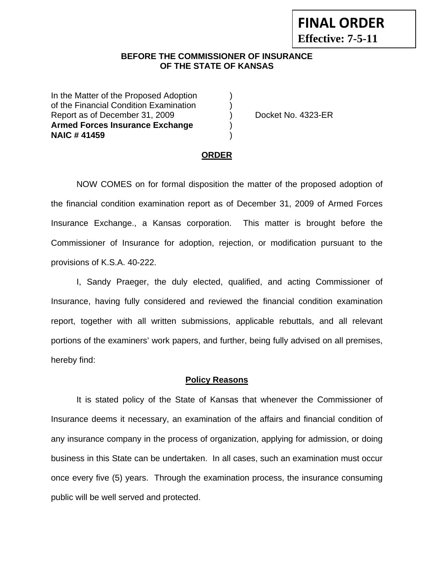## **BEFORE THE COMMISSIONER OF INSURANCE OF THE STATE OF KANSAS**

In the Matter of the Proposed Adoption of the Financial Condition Examination ) Report as of December 31, 2009 (a) Docket No. 4323-ER **Armed Forces Insurance Exchange** ) **NAIC # 41459** )

#### **ORDER**

 NOW COMES on for formal disposition the matter of the proposed adoption of the financial condition examination report as of December 31, 2009 of Armed Forces Insurance Exchange., a Kansas corporation. This matter is brought before the Commissioner of Insurance for adoption, rejection, or modification pursuant to the provisions of K.S.A. 40-222.

 I, Sandy Praeger, the duly elected, qualified, and acting Commissioner of Insurance, having fully considered and reviewed the financial condition examination report, together with all written submissions, applicable rebuttals, and all relevant portions of the examiners' work papers, and further, being fully advised on all premises, hereby find:

#### **Policy Reasons**

 It is stated policy of the State of Kansas that whenever the Commissioner of Insurance deems it necessary, an examination of the affairs and financial condition of any insurance company in the process of organization, applying for admission, or doing business in this State can be undertaken. In all cases, such an examination must occur once every five (5) years. Through the examination process, the insurance consuming public will be well served and protected.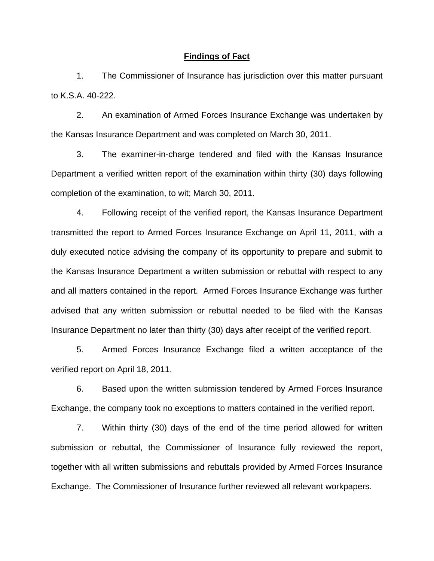#### **Findings of Fact**

1. The Commissioner of Insurance has jurisdiction over this matter pursuant to K.S.A. 40-222.

2. An examination of Armed Forces Insurance Exchange was undertaken by the Kansas Insurance Department and was completed on March 30, 2011.

3. The examiner-in-charge tendered and filed with the Kansas Insurance Department a verified written report of the examination within thirty (30) days following completion of the examination, to wit; March 30, 2011.

4. Following receipt of the verified report, the Kansas Insurance Department transmitted the report to Armed Forces Insurance Exchange on April 11, 2011, with a duly executed notice advising the company of its opportunity to prepare and submit to the Kansas Insurance Department a written submission or rebuttal with respect to any and all matters contained in the report. Armed Forces Insurance Exchange was further advised that any written submission or rebuttal needed to be filed with the Kansas Insurance Department no later than thirty (30) days after receipt of the verified report.

5. Armed Forces Insurance Exchange filed a written acceptance of the verified report on April 18, 2011.

6. Based upon the written submission tendered by Armed Forces Insurance Exchange, the company took no exceptions to matters contained in the verified report.

7. Within thirty (30) days of the end of the time period allowed for written submission or rebuttal, the Commissioner of Insurance fully reviewed the report, together with all written submissions and rebuttals provided by Armed Forces Insurance Exchange. The Commissioner of Insurance further reviewed all relevant workpapers.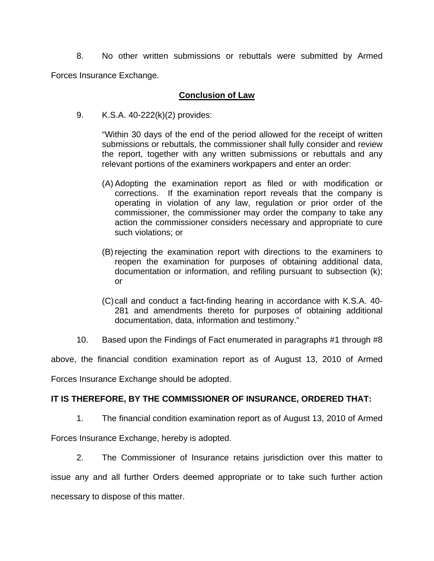8. No other written submissions or rebuttals were submitted by Armed Forces Insurance Exchange.

#### **Conclusion of Law**

9. K.S.A. 40-222(k)(2) provides:

"Within 30 days of the end of the period allowed for the receipt of written submissions or rebuttals, the commissioner shall fully consider and review the report, together with any written submissions or rebuttals and any relevant portions of the examiners workpapers and enter an order:

- (A) Adopting the examination report as filed or with modification or corrections. If the examination report reveals that the company is operating in violation of any law, regulation or prior order of the commissioner, the commissioner may order the company to take any action the commissioner considers necessary and appropriate to cure such violations; or
- (B) rejecting the examination report with directions to the examiners to reopen the examination for purposes of obtaining additional data, documentation or information, and refiling pursuant to subsection (k); or
- (C) call and conduct a fact-finding hearing in accordance with K.S.A. 40- 281 and amendments thereto for purposes of obtaining additional documentation, data, information and testimony."
- 10. Based upon the Findings of Fact enumerated in paragraphs #1 through #8

above, the financial condition examination report as of August 13, 2010 of Armed

Forces Insurance Exchange should be adopted.

## **IT IS THEREFORE, BY THE COMMISSIONER OF INSURANCE, ORDERED THAT:**

1. The financial condition examination report as of August 13, 2010 of Armed

Forces Insurance Exchange, hereby is adopted.

2. The Commissioner of Insurance retains jurisdiction over this matter to issue any and all further Orders deemed appropriate or to take such further action necessary to dispose of this matter.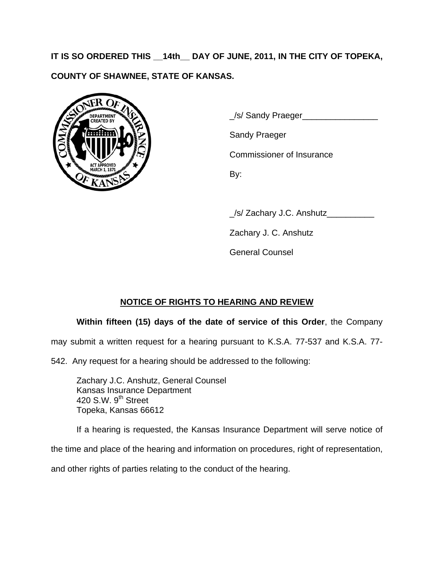**IT IS SO ORDERED THIS \_\_14th\_\_ DAY OF JUNE, 2011, IN THE CITY OF TOPEKA, COUNTY OF SHAWNEE, STATE OF KANSAS.** 



 $\frac{1}{\sqrt{S}}$  Sandy Praeger

Sandy Praeger

Commissioner of Insurance

\_/s/ Zachary J.C. Anshutz\_\_\_\_\_\_\_\_\_\_

Zachary J. C. Anshutz

General Counsel

# **NOTICE OF RIGHTS TO HEARING AND REVIEW**

## **Within fifteen (15) days of the date of service of this Order**, the Company

may submit a written request for a hearing pursuant to K.S.A. 77-537 and K.S.A. 77-

542. Any request for a hearing should be addressed to the following:

 Zachary J.C. Anshutz, General Counsel Kansas Insurance Department 420 S.W.  $9<sup>th</sup>$  Street Topeka, Kansas 66612

If a hearing is requested, the Kansas Insurance Department will serve notice of the time and place of the hearing and information on procedures, right of representation,

and other rights of parties relating to the conduct of the hearing.